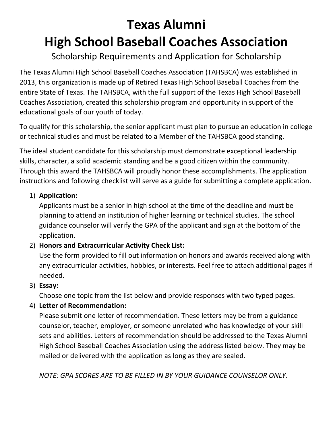# **Texas Alumni High School Baseball Coaches Association**

## Scholarship Requirements and Application for Scholarship

The Texas Alumni High School Baseball Coaches Association (TAHSBCA) was established in 2013, this organization is made up of Retired Texas High School Baseball Coaches from the entire State of Texas. The TAHSBCA, with the full support of the Texas High School Baseball Coaches Association, created this scholarship program and opportunity in support of the educational goals of our youth of today.

To qualify for this scholarship, the senior applicant must plan to pursue an education in college or technical studies and must be related to a Member of the TAHSBCA good standing.

The ideal student candidate for this scholarship must demonstrate exceptional leadership skills, character, a solid academic standing and be a good citizen within the community. Through this award the TAHSBCA will proudly honor these accomplishments. The application instructions and following checklist will serve as a guide for submitting a complete application.

### 1) **Application:**

Applicants must be a senior in high school at the time of the deadline and must be planning to attend an institution of higher learning or technical studies. The school guidance counselor will verify the GPA of the applicant and sign at the bottom of the application.

### 2) **Honors and Extracurricular Activity Check List:**

Use the form provided to fill out information on honors and awards received along with any extracurricular activities, hobbies, or interests. Feel free to attach additional pages if needed.

3) **Essay:**

Choose one topic from the list below and provide responses with two typed pages.

### 4) **Letter of Recommendation:**

Please submit one letter of recommendation. These letters may be from a guidance counselor, teacher, employer, or someone unrelated who has knowledge of your skill sets and abilities. Letters of recommendation should be addressed to the Texas Alumni High School Baseball Coaches Association using the address listed below. They may be mailed or delivered with the application as long as they are sealed.

*NOTE: GPA SCORES ARE TO BE FILLED IN BY YOUR GUIDANCE COUNSELOR ONLY.*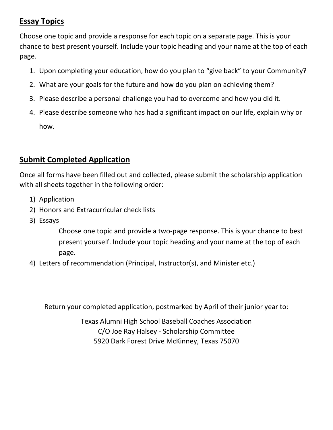### **Essay Topics**

Choose one topic and provide a response for each topic on a separate page. This is your chance to best present yourself. Include your topic heading and your name at the top of each page.

- 1. Upon completing your education, how do you plan to "give back" to your Community?
- 2. What are your goals for the future and how do you plan on achieving them?
- 3. Please describe a personal challenge you had to overcome and how you did it.
- 4. Please describe someone who has had a significant impact on our life, explain why or how.

### **Submit Completed Application**

Once all forms have been filled out and collected, please submit the scholarship application with all sheets together in the following order:

- 1) Application
- 2) Honors and Extracurricular check lists
- 3) Essays

Choose one topic and provide a two-page response. This is your chance to best present yourself. Include your topic heading and your name at the top of each page.

4) Letters of recommendation (Principal, Instructor(s), and Minister etc.)

Return your completed application, postmarked by April of their junior year to:

Texas Alumni High School Baseball Coaches Association C/O Joe Ray Halsey - Scholarship Committee 5920 Dark Forest Drive McKinney, Texas 75070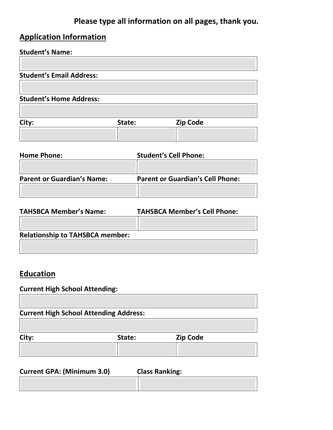### **Please type all information on all pages, thank you.**

# **Application Information**

# **Student's Name:**

| City:                           | State: | <b>Zip Code</b> |  |
|---------------------------------|--------|-----------------|--|
| <b>Student's Home Address:</b>  |        |                 |  |
|                                 |        |                 |  |
| <b>Student's Email Address:</b> |        |                 |  |

| <b>Home Phone:</b>                | <b>Student's Cell Phone:</b>            |
|-----------------------------------|-----------------------------------------|
|                                   |                                         |
| <b>Parent or Guardian's Name:</b> | <b>Parent or Guardian's Cell Phone:</b> |
|                                   |                                         |

| <b>TAHSBCA Member's Name:</b>          | <b>TAHSBCA Member's Cell Phone:</b> |
|----------------------------------------|-------------------------------------|
|                                        |                                     |
| <b>Relationship to TAHSBCA member:</b> |                                     |
|                                        |                                     |

### **Education**

#### **Current High School Attending:**

**Current High School Attending Address:** 

| City: | State: | Zip Code |
|-------|--------|----------|
|       |        |          |

| <b>Current GPA: (Minimum 3.0)</b> | <b>Class Ranking:</b> |
|-----------------------------------|-----------------------|
|                                   |                       |